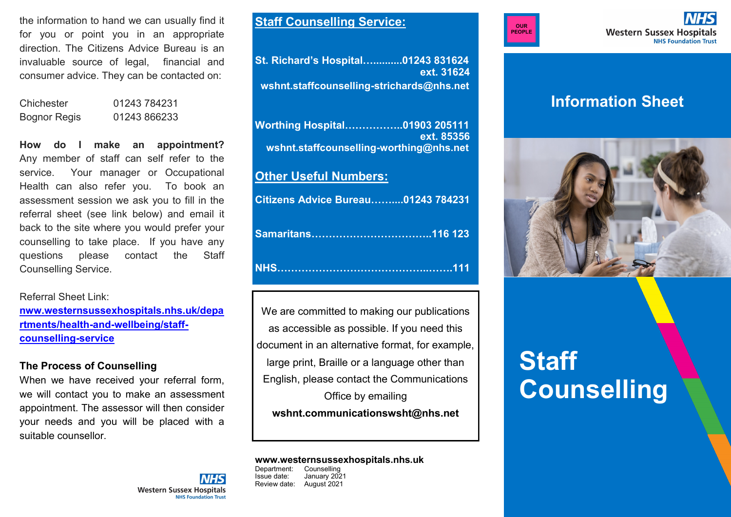the information to hand we can usually find it for you or point you in an appropriate direction. The Citizens Advice Bureau is an invaluable source of legal, financial and consumer advice. They can be contacted on:

Chichester 01243 784231 Bognor Regis 01243 866233

**How do I make an appointment?** Any member of staff can self refer to the service. Your manager or Occupational Health can also refer you. To book an assessment session we ask you to fill in the referral sheet (see link below) and email it back to the site where you would prefer your counselling to take place. If you have any questions please contact the Staff Counselling Service.

Referral Sheet Link:

**[nww.westernsussexhospitals.nhs.uk/depa](nww.westernsussexhospitals.nhs.uk/departments/health-and-wellbeing/staff-counselling-service) rtments/health-and-[wellbeing/staff](nww.westernsussexhospitals.nhs.uk/departments/health-and-wellbeing/staff-counselling-service)[counselling](nww.westernsussexhospitals.nhs.uk/departments/health-and-wellbeing/staff-counselling-service)-service**

## **The Process of Counselling**

When we have received your referral form, we will contact you to make an assessment appointment. The assessor will then consider your needs and you will be placed with a suitable counsellor.

**Western Sussex Hospitals** 

**NHS Foundation Trust** 

**Staff Counselling Service:**

**St. Richard's Hospital…..........01243 831624 ext. 31624 wshnt.staffcounselling-strichards@nhs.net**

**Worthing Hospital……………..01903 205111 ext. 85356 wshnt.staffcounselling-worthing@nhs.net**

# **Other Useful Numbers:**

| <b>Citizens Advice Bureau01243 784231</b> |  |
|-------------------------------------------|--|
|                                           |  |
|                                           |  |

We are committed to making our publications as accessible as possible. If you need this document in an alternative format, for example, large print, Braille or a language other than English, please contact the Communications Office by emailing **wshnt.communicationswsht@nhs.net**

# **www.westernsussexhospitals.nhs.uk**

Counselling Issue date: January 2021 Review date: August 2021



**Western Sussex Hospitals NHS Foundation Trust** 

# **Information Sheet**



# **Staff Counselling**